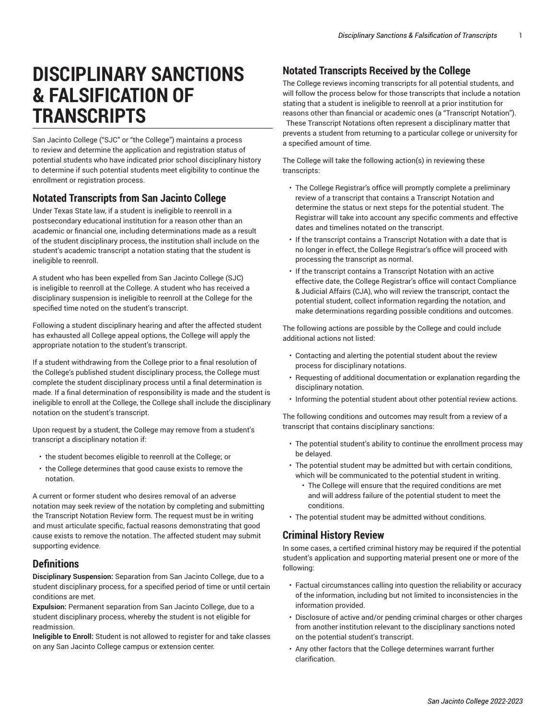# **DISCIPLINARY SANCTIONS & FALSIFICATION OF TRANSCRIPTS**

San Jacinto College ("SJC" or "the College") maintains a process to review and determine the application and registration status of potential students who have indicated prior school disciplinary history to determine if such potential students meet eligibility to continue the enrollment or registration process.

# **Notated Transcripts from San Jacinto College**

Under Texas State law, if a student is ineligible to reenroll in a postsecondary educational institution for a reason other than an academic or financial one, including determinations made as a result of the student disciplinary process, the institution shall include on the student's academic transcript a notation stating that the student is ineligible to reenroll.

A student who has been expelled from San Jacinto College (SJC) is ineligible to reenroll at the College. A student who has received a disciplinary suspension is ineligible to reenroll at the College for the specified time noted on the student's transcript.

Following a student disciplinary hearing and after the affected student has exhausted all College appeal options, the College will apply the appropriate notation to the student's transcript.

If a student withdrawing from the College prior to a final resolution of the College's published student disciplinary process, the College must complete the student disciplinary process until a final determination is made. If a final determination of responsibility is made and the student is ineligible to enroll at the College, the College shall include the disciplinary notation on the student's transcript.

Upon request by a student, the College may remove from a student's transcript a disciplinary notation if:

- the student becomes eligible to reenroll at the College; or
- the College determines that good cause exists to remove the notation.

A current or former student who desires removal of an adverse notation may seek review of the notation by completing and submitting the Transcript Notation Review form. The request must be in writing and must articulate specific, factual reasons demonstrating that good cause exists to remove the notation. The affected student may submit supporting evidence.

#### **Definitions**

**Disciplinary Suspension:** Separation from San Jacinto College, due to a student disciplinary process, for a specified period of time or until certain conditions are met.

**Expulsion:** Permanent separation from San Jacinto College, due to a student disciplinary process, whereby the student is not eligible for readmission.

**Ineligible to Enroll:** Student is not allowed to register for and take classes on any San Jacinto College campus or extension center.

## **Notated Transcripts Received by the College**

The College reviews incoming transcripts for all potential students, and will follow the process below for those transcripts that include a notation stating that a student is ineligible to reenroll at a prior institution for reasons other than financial or academic ones (a "Transcript Notation"). These Transcript Notations often represent a disciplinary matter that prevents a student from returning to a particular college or university for a specified amount of time.

The College will take the following action(s) in reviewing these transcripts:

- The College Registrar's office will promptly complete a preliminary review of a transcript that contains a Transcript Notation and determine the status or next steps for the potential student. The Registrar will take into account any specific comments and effective dates and timelines notated on the transcript.
- If the transcript contains a Transcript Notation with a date that is no longer in effect, the College Registrar's office will proceed with processing the transcript as normal.
- If the transcript contains a Transcript Notation with an active effective date, the College Registrar's office will contact Compliance & Judicial Affairs (CJA), who will review the transcript, contact the potential student, collect information regarding the notation, and make determinations regarding possible conditions and outcomes.

The following actions are possible by the College and could include additional actions not listed:

- Contacting and alerting the potential student about the review process for disciplinary notations.
- Requesting of additional documentation or explanation regarding the disciplinary notation.
- Informing the potential student about other potential review actions.

The following conditions and outcomes may result from a review of a transcript that contains disciplinary sanctions:

- The potential student's ability to continue the enrollment process may be delayed.
- The potential student may be admitted but with certain conditions, which will be communicated to the potential student in writing.
	- The College will ensure that the required conditions are met and will address failure of the potential student to meet the conditions.
- The potential student may be admitted without conditions.

#### **Criminal History Review**

In some cases, a certified criminal history may be required if the potential student's application and supporting material present one or more of the following:

- Factual circumstances calling into question the reliability or accuracy of the information, including but not limited to inconsistencies in the information provided.
- Disclosure of active and/or pending criminal charges or other charges from another institution relevant to the disciplinary sanctions noted on the potential student's transcript.
- Any other factors that the College determines warrant further clarification.